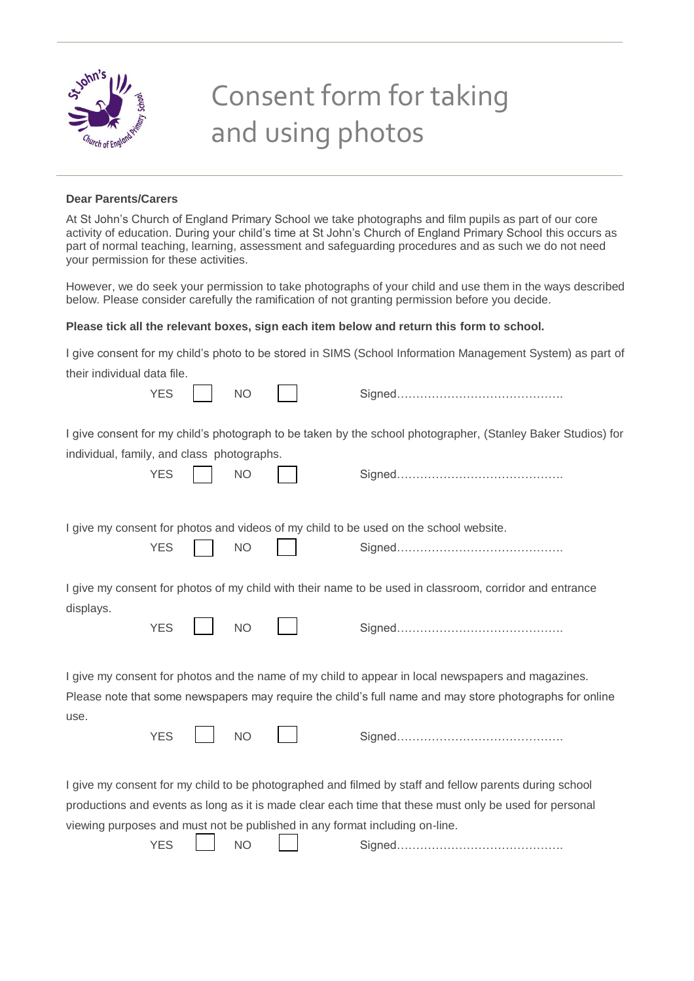

## Consent form for taking and using photos

## **Dear Parents/Carers**

At St John's Church of England Primary School we take photographs and film pupils as part of our core activity of education. During your child's time at St John's Church of England Primary School this occurs as part of normal teaching, learning, assessment and safeguarding procedures and as such we do not need your permission for these activities.

However, we do seek your permission to take photographs of your child and use them in the ways described below. Please consider carefully the ramification of not granting permission before you decide.

## **Please tick all the relevant boxes, sign each item below and return this form to school.**

|                                                                                                                                                                                                                                                                                                 |           |  | I give consent for my child's photo to be stored in SIMS (School Information Management System) as part of |  |  |  |  |
|-------------------------------------------------------------------------------------------------------------------------------------------------------------------------------------------------------------------------------------------------------------------------------------------------|-----------|--|------------------------------------------------------------------------------------------------------------|--|--|--|--|
| their individual data file.                                                                                                                                                                                                                                                                     |           |  |                                                                                                            |  |  |  |  |
| <b>YES</b>                                                                                                                                                                                                                                                                                      | <b>NO</b> |  |                                                                                                            |  |  |  |  |
| I give consent for my child's photograph to be taken by the school photographer, (Stanley Baker Studios) for<br>individual, family, and class photographs.                                                                                                                                      |           |  |                                                                                                            |  |  |  |  |
| <b>YES</b>                                                                                                                                                                                                                                                                                      | <b>NO</b> |  |                                                                                                            |  |  |  |  |
| I give my consent for photos and videos of my child to be used on the school website.                                                                                                                                                                                                           |           |  |                                                                                                            |  |  |  |  |
| <b>YES</b>                                                                                                                                                                                                                                                                                      | <b>NO</b> |  |                                                                                                            |  |  |  |  |
| I give my consent for photos of my child with their name to be used in classroom, corridor and entrance                                                                                                                                                                                         |           |  |                                                                                                            |  |  |  |  |
| displays.<br><b>YES</b>                                                                                                                                                                                                                                                                         | <b>NO</b> |  |                                                                                                            |  |  |  |  |
| I give my consent for photos and the name of my child to appear in local newspapers and magazines.                                                                                                                                                                                              |           |  |                                                                                                            |  |  |  |  |
| Please note that some newspapers may require the child's full name and may store photographs for online                                                                                                                                                                                         |           |  |                                                                                                            |  |  |  |  |
| use.<br><b>YES</b>                                                                                                                                                                                                                                                                              | <b>NO</b> |  |                                                                                                            |  |  |  |  |
| I give my consent for my child to be photographed and filmed by staff and fellow parents during school<br>productions and events as long as it is made clear each time that these must only be used for personal<br>viewing purposes and must not be published in any format including on-line. |           |  |                                                                                                            |  |  |  |  |

|--|--|--|--|--|